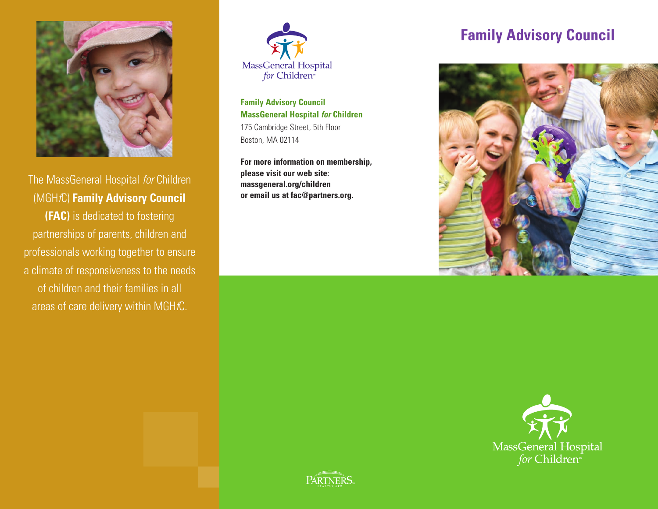

The MassGeneral Hospital for Children (MGHfC) **Family Advisory Council (FAC)** is dedicated to fostering partnerships of parents, children and

professionals working together to ensure a climate of responsiveness to the needs of children and their families in all areas of care delivery within MGH $fC$ .



**Family Advisory Council MassGeneral Hospital** *for* **Children** 175 Cambridge Street, 5th Floor Boston, MA 02114

**For more information on membership, please visit our web site: massgeneral.org/children or email us at fac@partners.org.**

### **Family Advisory Council**